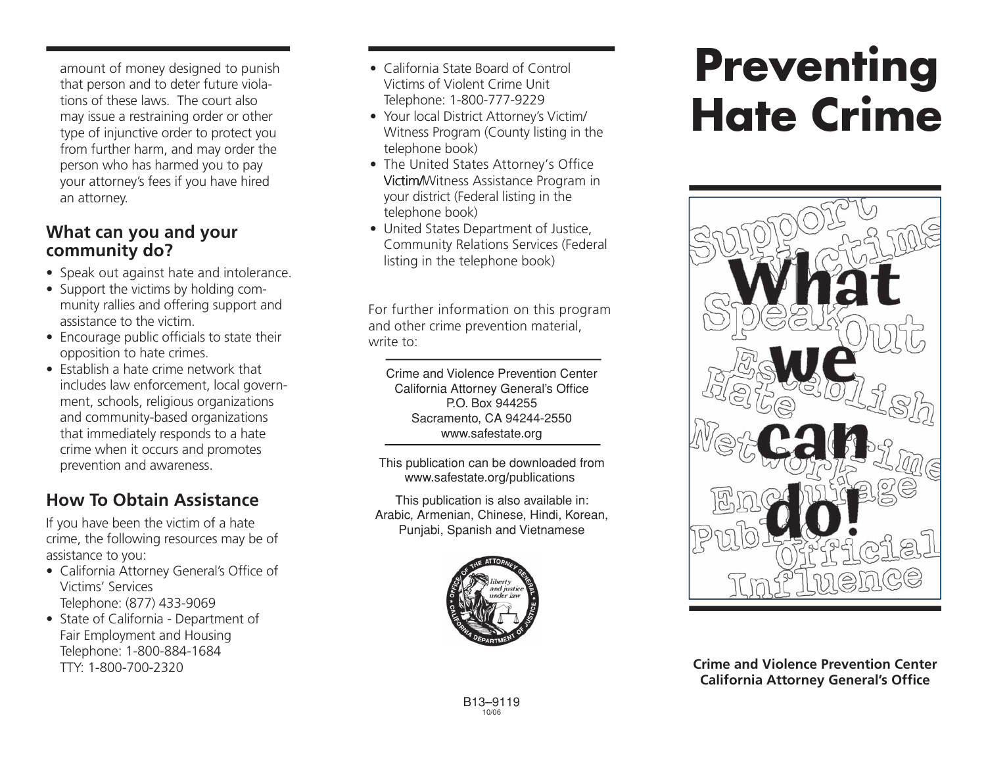amount of money designed to punish that person and to deter future violations of these laws. The court also may issue a restraining order or other type of injunctive order to protect you from further harm, and may order the person who has harmed you to pay your attorney's fees if you have hired an attorney.

### **What can you and your community do?**

- Speak out against hate and intolerance.
- Support the victims by holding community rallies and offering support and assistance to the victim.
- Encourage public officials to state their opposition to hate crimes.
- Establish a hate crime network that includes law enforcement, local government, schools, religious organizations and community-based organizations that immediately responds to a hate crime when it occurs and promotes prevention and awareness.

# **How To Obtain Assistance**

If you have been the victim of a hate crime, the following resources may be of assistance to you:

- California Attorney General's Office of Victims' Services Telephone: (877) 433-9069
- State of California Department of Fair Employment and Housing Telephone: 1-800-884-1684 TTY: 1-800-700-2320
- California State Board of Control Victims of Violent Crime Unit Telephone: 1-800-777-9229
- Your local District Attorney's Victim/ Witness Program (County listing in the telephone book)
- The United States Attorney's Office Victim/Witness Assistance Program in your district (Federal listing in the telephone book)
- United States Department of Justice, Community Relations Services (Federal listing in the telephone book)

For further information on this program and other crime prevention material, write to:

Crime and Violence Prevention Center California Attorney General's Office P.O. Box 944255 Sacramento, CA 94244-2550 www.safestate.org

This publication can be downloaded from www.safestate.org/publications

This publication is also available in: Arabic, Armenian, Chinese, Hindi, Korean, Punjabi, Spanish and Vietnamese



# **Preventing Hate Crime**



**Crime and Violence Prevention Center California Attorney General's Office**